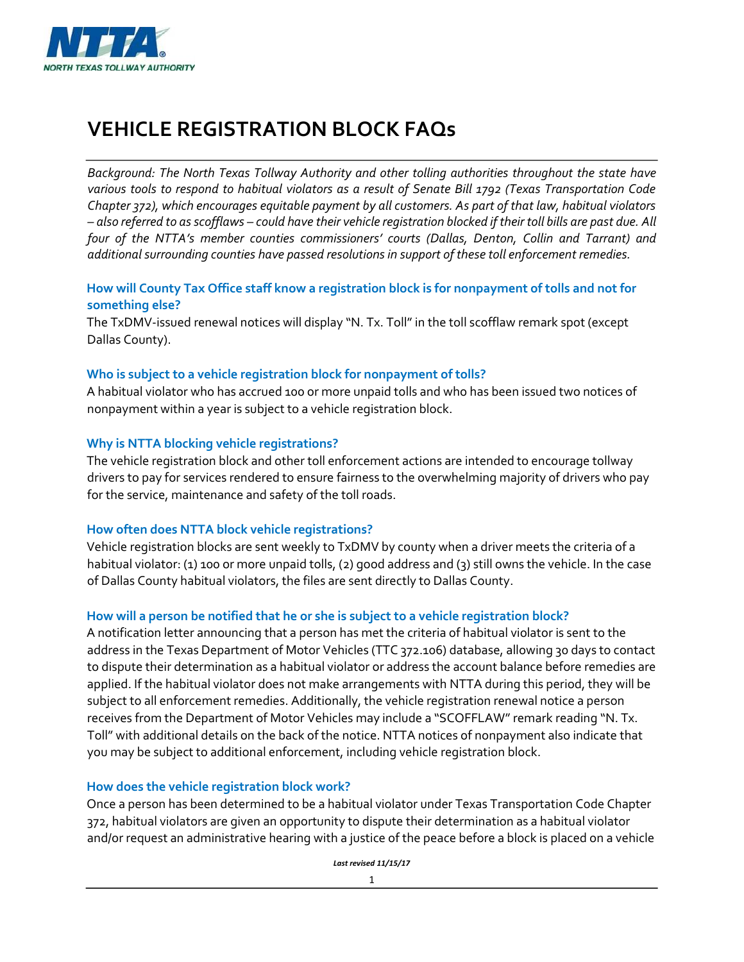

# **VEHICLE REGISTRATION BLOCK FAQs**

*Background: The North Texas Tollway Authority and other tolling authorities throughout the state have various tools to respond to habitual violators as a result of Senate Bill 1792 (Texas Transportation Code Chapter 372), which encourages equitable payment by all customers. As part of that law, habitual violators – also referred to as scofflaws – could have their vehicle registration blocked if their toll bills are past due. All four of the NTTA's member counties commissioners' courts (Dallas, Denton, Collin and Tarrant) and additional surrounding counties have passed resolutions in support of these toll enforcement remedies.* 

# **How will County Tax Office staff know a registration block is for nonpayment of tolls and not for something else?**

The TxDMV-issued renewal notices will display "N. Tx. Toll" in the toll scofflaw remark spot (except Dallas County).

# **Who is subject to a vehicle registration block for nonpayment of tolls?**

A habitual violator who has accrued 100 or more unpaid tolls and who has been issued two notices of nonpayment within a year is subject to a vehicle registration block.

# **Why is NTTA blocking vehicle registrations?**

The vehicle registration block and other toll enforcement actions are intended to encourage tollway drivers to pay for services rendered to ensure fairness to the overwhelming majority of drivers who pay for the service, maintenance and safety of the toll roads.

# **How often does NTTA block vehicle registrations?**

Vehicle registration blocks are sent weekly to TxDMV by county when a driver meets the criteria of a habitual violator: (1) 100 or more unpaid tolls, (2) good address and (3) still owns the vehicle. In the case of Dallas County habitual violators, the files are sent directly to Dallas County.

# **How will a person be notified that he or she is subject to a vehicle registration block?**

A notification letter announcing that a person has met the criteria of habitual violator is sent to the address in the Texas Department of Motor Vehicles (TTC 372.106) database, allowing 30 days to contact to dispute their determination as a habitual violator or address the account balance before remedies are applied. If the habitual violator does not make arrangements with NTTA during this period, they will be subject to all enforcement remedies. Additionally, the vehicle registration renewal notice a person receives from the Department of Motor Vehicles may include a "SCOFFLAW" remark reading "N. Tx. Toll" with additional details on the back of the notice. NTTA notices of nonpayment also indicate that you may be subject to additional enforcement, including vehicle registration block.

# **How does the vehicle registration block work?**

Once a person has been determined to be a habitual violator under Texas Transportation Code Chapter 372, habitual violators are given an opportunity to dispute their determination as a habitual violator and/or request an administrative hearing with a justice of the peace before a block is placed on a vehicle

*Last revised 11/15/17*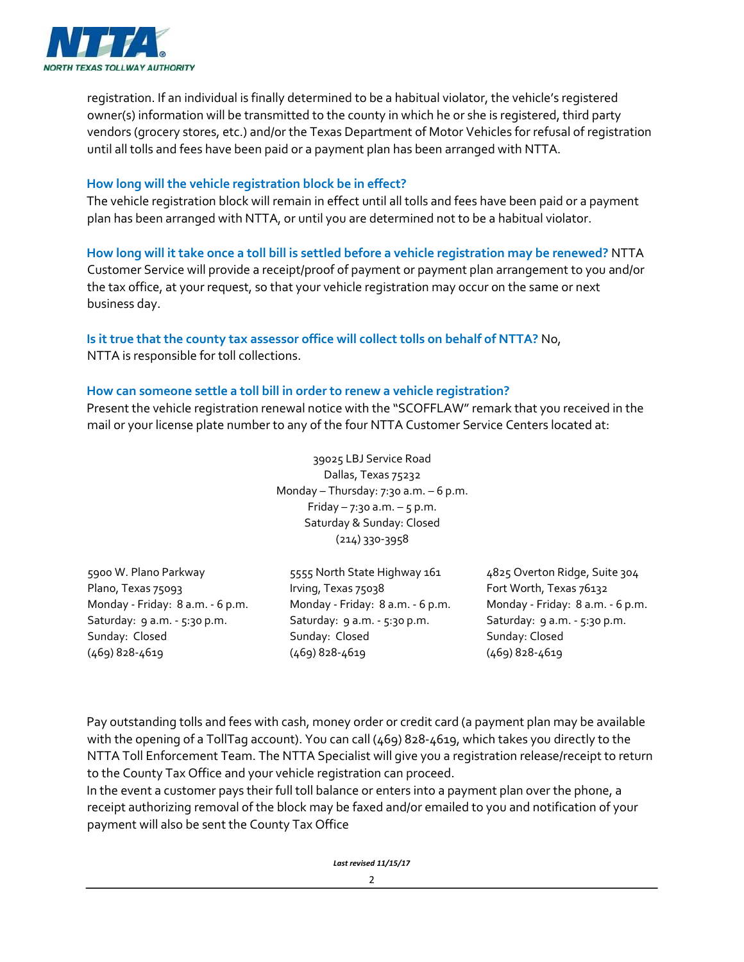

registration. If an individual is finally determined to be a habitual violator, the vehicle's registered owner(s) information will be transmitted to the county in which he or she is registered, third party vendors (grocery stores, etc.) and/or the Texas Department of Motor Vehicles for refusal of registration until all tolls and fees have been paid or a payment plan has been arranged with NTTA.

## **How long will the vehicle registration block be in effect?**

The vehicle registration block will remain in effect until all tolls and fees have been paid or a payment plan has been arranged with NTTA, or until you are determined not to be a habitual violator.

**How long will it take once a toll bill is settled before a vehicle registration may be renewed?** NTTA Customer Service will provide a receipt/proof of payment or payment plan arrangement to you and/or the tax office, at your request, so that your vehicle registration may occur on the same or next business day.

### **Is it true that the county tax assessor office will collect tolls on behalf of NTTA?** No, NTTA is responsible for toll collections.

## **How can someone settle a toll bill in order to renew a vehicle registration?**

Present the vehicle registration renewal notice with the "SCOFFLAW" remark that you received in the mail or your license plate number to any of the four NTTA Customer Service Centers located at:

> 39025 LBJ Service Road Dallas, Texas 75232 Monday – Thursday:  $7:30$  a.m. – 6 p.m. Friday –  $7:30$  a.m. –  $5$  p.m. Saturday & Sunday: Closed (214) 330-3958

5900 W. Plano Parkway 5555 North State Highway 161 4825 Overton Ridge, Suite 304

Plano, Texas 75093 Irving, Texas 75038 Fort Worth, Texas 76132 Monday ‐ Friday: 8 a.m. ‐ 6 p.m. Monday ‐ Friday: 8 a.m. ‐ 6 p.m. Monday ‐ Friday: 8 a.m. ‐ 6 p.m. Saturday: 9 a.m. - 5:30 p.m. Saturday: 9 a.m. - 5:30 p.m. Saturday: 9 a.m. - 5:30 p.m. Sunday: Closed Sunday: Closed Sunday: Closed (469) 828‐4619 (469) 828‐4619 (469) 828‐4619

Pay outstanding tolls and fees with cash, money order or credit card (a payment plan may be available with the opening of a TollTag account). You can call (469) 828‐4619, which takes you directly to the NTTA Toll Enforcement Team. The NTTA Specialist will give you a registration release/receipt to return to the County Tax Office and your vehicle registration can proceed.

In the event a customer pays their full toll balance or enters into a payment plan over the phone, a receipt authorizing removal of the block may be faxed and/or emailed to you and notification of your payment will also be sent the County Tax Office